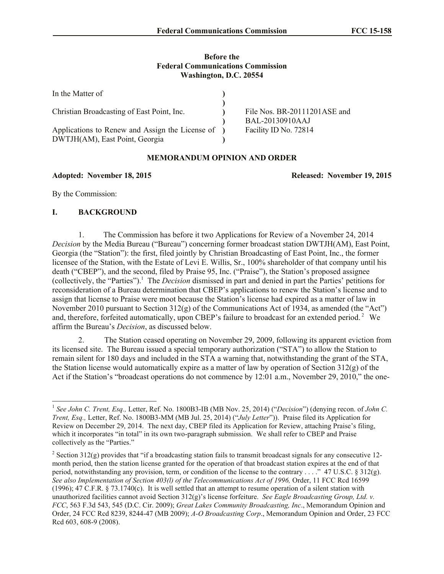### **Before the Federal Communications Commission Washington, D.C. 20554**

| In the Matter of                                                                  |                                                 |
|-----------------------------------------------------------------------------------|-------------------------------------------------|
| Christian Broadcasting of East Point, Inc.                                        | File Nos. BR-20111201ASE and<br>BAL-20130910AAJ |
| Applications to Renew and Assign the License of<br>DWTJH(AM), East Point, Georgia | Facility ID No. 72814                           |

# **MEMORANDUM OPINION AND ORDER**

## **Adopted: November 18, 2015 Released: November 19, 2015**

By the Commission:

# **I. BACKGROUND**

1. The Commission has before it two Applications for Review of a November 24, 2014 *Decision* by the Media Bureau ("Bureau") concerning former broadcast station DWTJH(AM), East Point, Georgia (the "Station"): the first, filed jointly by Christian Broadcasting of East Point, Inc., the former licensee of the Station, with the Estate of Levi E. Willis, Sr., 100% shareholder of that company until his death ("CBEP"), and the second, filed by Praise 95, Inc. ("Praise"), the Station's proposed assignee (collectively, the "Parties"). <sup>1</sup> The *Decision* dismissed in part and denied in part the Parties' petitions for reconsideration of a Bureau determination that CBEP's applications to renew the Station's license and to assign that license to Praise were moot because the Station's license had expired as a matter of law in November 2010 pursuant to Section 312(g) of the Communications Act of 1934, as amended (the "Act") and, therefore, forfeited automatically, upon CBEP's failure to broadcast for an extended period.<sup>2</sup> We affirm the Bureau's *Decision*, as discussed below.

2. The Station ceased operating on November 29, 2009, following its apparent eviction from its licensed site. The Bureau issued a special temporary authorization ("STA") to allow the Station to remain silent for 180 days and included in the STA a warning that, notwithstanding the grant of the STA, the Station license would automatically expire as a matter of law by operation of Section 312(g) of the Act if the Station's "broadcast operations do not commence by 12:01 a.m., November 29, 2010," the one-

l 1 *See John C. Trent, Esq.,* Letter, Ref. No. 1800B3-IB (MB Nov. 25, 2014) ("*Decision*") (denying recon. of *John C. Trent, Esq.,* Letter, Ref. No. 1800B3-MM (MB Jul. 25, 2014) ("*July Letter*")). Praise filed its Application for Review on December 29, 2014. The next day, CBEP filed its Application for Review, attaching Praise's filing, which it incorporates "in total" in its own two-paragraph submission. We shall refer to CBEP and Praise collectively as the "Parties."

<sup>&</sup>lt;sup>2</sup> Section 312(g) provides that "if a broadcasting station fails to transmit broadcast signals for any consecutive 12month period, then the station license granted for the operation of that broadcast station expires at the end of that period, notwithstanding any provision, term, or condition of the license to the contrary . . . ." 47 U.S.C.  $\S 312(g)$ . *See also Implementation of Section 403(l) of the Telecommunications Act of 1996,* Order, 11 FCC Rcd 16599 (1996); 47 C.F.R. § 73.1740(c). It is well settled that an attempt to resume operation of a silent station with unauthorized facilities cannot avoid Section 312(g)'s license forfeiture. *See Eagle Broadcasting Group, Ltd. v. FCC*, 563 F.3d 543, 545 (D.C. Cir. 2009); *Great Lakes Community Broadcasting, Inc*., Memorandum Opinion and Order, 24 FCC Rcd 8239, 8244-47 (MB 2009); *A-O Broadcasting Corp*., Memorandum Opinion and Order, 23 FCC Rcd 603, 608-9 (2008).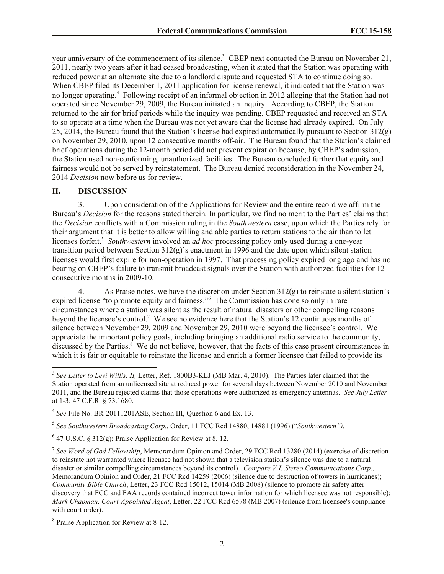year anniversary of the commencement of its silence. 3 CBEP next contacted the Bureau on November 21, 2011, nearly two years after it had ceased broadcasting, when it stated that the Station was operating with reduced power at an alternate site due to a landlord dispute and requested STA to continue doing so. When CBEP filed its December 1, 2011 application for license renewal, it indicated that the Station was no longer operating.<sup>4</sup> Following receipt of an informal objection in 2012 alleging that the Station had not operated since November 29, 2009, the Bureau initiated an inquiry. According to CBEP, the Station returned to the air for brief periods while the inquiry was pending. CBEP requested and received an STA to so operate at a time when the Bureau was not yet aware that the license had already expired. On July 25, 2014, the Bureau found that the Station's license had expired automatically pursuant to Section  $312(g)$ on November 29, 2010, upon 12 consecutive months off-air. The Bureau found that the Station's claimed brief operations during the 12-month period did not prevent expiration because, by CBEP's admission, the Station used non-conforming, unauthorized facilities. The Bureau concluded further that equity and fairness would not be served by reinstatement. The Bureau denied reconsideration in the November 24, 2014 *Decision* now before us for review.

#### **II. DISCUSSION**

3. Upon consideration of the Applications for Review and the entire record we affirm the Bureau's *Decision* for the reasons stated therein*.* In particular, we find no merit to the Parties' claims that the *Decision* conflicts with a Commission ruling in the *Southwestern* case, upon which the Parties rely for their argument that it is better to allow willing and able parties to return stations to the air than to let licenses forfeit.<sup>5</sup> Southwestern involved an *ad hoc* processing policy only used during a one-year transition period between Section  $312(g)$ 's enactment in 1996 and the date upon which silent station licenses would first expire for non-operation in 1997. That processing policy expired long ago and has no bearing on CBEP's failure to transmit broadcast signals over the Station with authorized facilities for 12 consecutive months in 2009-10.

4. As Praise notes, we have the discretion under Section 312(g) to reinstate a silent station's expired license "to promote equity and fairness." <sup>6</sup> The Commission has done so only in rare circumstances where a station was silent as the result of natural disasters or other compelling reasons beyond the licensee's control. <sup>7</sup> We see no evidence here that the Station's 12 continuous months of silence between November 29, 2009 and November 29, 2010 were beyond the licensee's control. We appreciate the important policy goals, including bringing an additional radio service to the community, discussed by the Parties. <sup>8</sup> We do not believe, however, that the facts of this case present circumstances in which it is fair or equitable to reinstate the license and enrich a former licensee that failed to provide its

5 *See Southwestern Broadcasting Corp.*, Order, 11 FCC Rcd 14880, 14881 (1996) ("*Southwestern")*.

<sup>&</sup>lt;sup>3</sup> See Letter to Levi Willis, II, Letter, Ref. 1800B3-KLJ (MB Mar. 4, 2010). The Parties later claimed that the Station operated from an unlicensed site at reduced power for several days between November 2010 and November 2011, and the Bureau rejected claims that those operations were authorized as emergency antennas. *See July Letter*  at 1-3; 47 C.F.R. § 73.1680.

<sup>4</sup> *See* File No. BR-20111201ASE, Section III, Question 6 and Ex. 13.

 $6$  47 U.S.C. § 312(g); Praise Application for Review at 8, 12.

<sup>7</sup> *See Word of God Fellowship*, Memorandum Opinion and Order, 29 FCC Rcd 13280 (2014) (exercise of discretion to reinstate not warranted where licensee had not shown that a television station's silence was due to a natural disaster or similar compelling circumstances beyond its control). *Compare V.I. Stereo Communications Corp.,* Memorandum Opinion and Order, 21 FCC Rcd 14259 (2006) (silence due to destruction of towers in hurricanes); *Community Bible Church*, Letter, 23 FCC Rcd 15012, 15014 (MB 2008) (silence to promote air safety after discovery that FCC and FAA records contained incorrect tower information for which licensee was not responsible); *Mark Chapman, Court-Appointed Agent*, Letter, 22 FCC Rcd 6578 (MB 2007) (silence from licensee's compliance with court order).

<sup>8</sup> Praise Application for Review at 8-12.